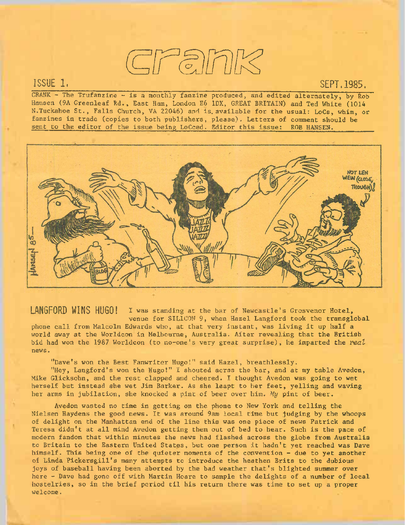## crank

## ISSUE 1.

## SEPT,1985.

CRANK - The Trufanzine - is a monthly fanzine produced, and edited alternately, by Rob Hansen (9A Greenleaf Rd., East Ham, London E6 1DX, GREAT BRITAIN) and Ted White (1014 N.Tuckahoe St., Falls Church, VA 22046) and is, available for the usual: LoCs, whim, or fanzines in trade (copies to both publishers, please). Letters of comment should be sent to the editor of the issue being LoCced. Editor this issue: ROB HANSEN.



LANGFORD WINS HUGO! I was standing at the bar of Newcastle's Grosvenor Hotel, venue for SILICON 9, when Hazel Langford took the transglobal phone call from Malcolm Edwards who, at that very instant, was living it up half <sup>a</sup> world away at the Worldcon in Melbourne, Australia. After revealing that the British bid had won the 1987 Worldcon (to no-one's very great surprise), he imparted the *veal* news.

"Dave's won the Best Fanwriter Hugo!" said Hazel, breathlessly.

"Hey, Langford's won the Hugo!" *I* shouted acrss the bar, and at my table Avedon, Mike Glicksohn, and the rest clapped and cheered. I thought Avedon was going to wet herself but instead she wet Jim Barker. As she leapt to her feet, yelling and waving her arms in jubilation, she knocked a pint of beer over him. *My* pint of beer.

Avedon wasted no time in getting on the phone to New York and telling the Nielsen Haydens the good news. It was around 9am local time but judging by the whoops of delight on the Manhattan end of the line this was one piece of news Patrick and Teresa didn't at all mind Avedon getting them out of bed to hear. Such is the pace of modern fandom that within minutes the news had flashed across the globe from Australia to Britain to the Eastern United States, but one person it hadn't yet reached was Dave himself. This being one of the quieter moments of the convention - due to yet another of Linda Pickersgill's many attempts to introduce the heathen Brits to the dubious joys of baseball having been aborted by the bad weather that's blighted summer over here - Dave had gone off with Martin Hoare to sample the delights of a number of local hostelries, so in the brief period til his return there was time to set up <sup>a</sup> proper welcome.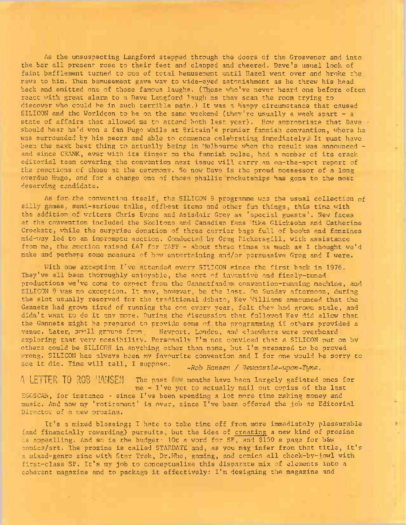As the unsuspecting Langford stepped through the doors of the Grosvenor and into the bar all present rose to their feet and clapped and cheered. Dave's usual look of faint bafflement turned to one of total bemusement until Hazel went over and broke the news to him. Then bemusement gave wav to wide-eyed astonishment as he threw his head back and emitted one of those famous laughs. (Those Who've never heard one before often react with great alarm to a Dave Langford laugh as they scan the room trying to discover who could be in such terrible pain.) It was <sup>a</sup> happy circumstance that caused SILICON and the Worldcon to be on the same weekend (they're usually a week apart  $-$  a state of affairs that allowed me to attend both last year). How appropriate that Dave should hear he'<sup>d</sup> won a fan Hugo while at Britain's premier fannish convention, where he was surrounded by his peers and able to commence celebrating immediately. It must have been the next best thing to actually being in Melbourne when the result was announced  $$ and since CRANK, ever with its finger on the fannish Dulse, had <sup>a</sup> member of its crack editorial team covering the convention next issue will carry an on-the-spot report of the reactions of those at the ceremony. So now Dave is the proud possessor of a long overdue Hugo, and for a change one of those phallic rocketships has gone to the most deserving candidate.

As for. the convention itself, the SILICON <sup>9</sup> programme was the usual collection of silly games, semi-serious talks, offbeat items and other fun things, this time with the addition of writers Chris Evans and Asisdair Grey as 'special guests'. New faces at the convention included the Skeltons.and Canadian fans Mike Glicksohn and Catherine Crockett, while the surprise donation of three carrier bags full of books and fanzines mid-way led to an impromptu auction. Conducted by Greg Pickersgill, with assistance from me, the auction raised £47 for TAFF - about three times as much as I thought we'<sup>d</sup> make and perhaps some measure of how entertaining and/or persuasive Greg and I were.

With one exception I've attended every SILICON since the first back in 1976. They've all been thoroughly enjoyable, the sort of inventive and finely-tuned productions we've come to expect from the Gannetfandom convention-running machine, and SILICON <sup>9</sup> was no exception. It may, however, be the last. On Sunday afternoon, during the slot usually reserved for the traditional debate, Kev Williams announced that the Gannets had grown tired of running the con every year, felt they had grown stale, and didn't want to do it any more. During the discussion that followed Kev did allow that the Gannets might be prepared to provide some of the programming if others provided <sup>a</sup> venue. Later, amili groups from Newport. London, and elsewhere were overheard venue. Eater, Sistinghouse from the weyport. Lounch, and expendence were overheard others could be SILICON in anything other than name, but I'm prepared to be proved wrong. SILICON has always been my favourite convention and I for one would be sorry to see it die. Time will tell, I suppose.

*' -Rod Hansen / Hewcastle-upon-Tyne.*

A LETTER TO ROB HANSEN The past the months have been largely gafiated ones for me - I've yet to actually mail out copies of the last EGCSCAN, for instance - since I've been spending <sup>a</sup> lot more time making money and music. And now my 'retirement' is over, since I've been offered the job as Editorial Director of a new prozine.

It's <sup>a</sup> mixed blessing; I hate to take time off from more immediately pleasurable (and financially rewarding) pursuits, but the idea of creating a new kind of prozine ns appealling. And so is the budget; 10p a word for SF, and \$150 a page for b&w comics/art. The prozine is called STARDATE and, as you may infer from that title, it's <sup>a</sup> mixed-genre zine with Star Trek, Dr.Who, gaming, and comics all cheek-by-jowl with first-class SF. It's my job to conceptualise this disparate mix of elements into <sup>a</sup> coherent magazine and to package it effectively: I'm designing the magazine and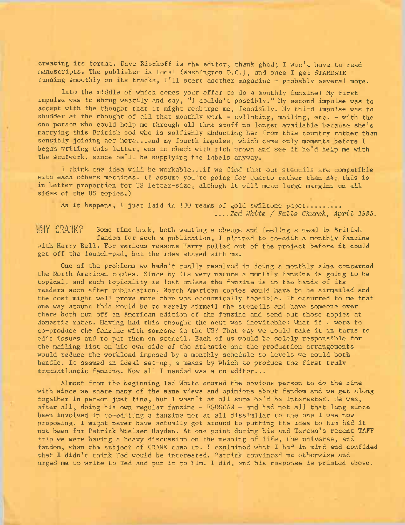creating its format. Dave Bischoff is the editor, thank ghod; I won't have to read manuscripts. The publisher is local (Washington D.C.), and once I get STARDATE running smoothly on its tracks, I'll start another magazine - probably several more.

Into the middle of which comes your offer to do <sup>a</sup> monthly fanzine! My first impulse was to shrug wearily and say, "I couldn't possibly." My second impulse was to accept with the thought that it might recharge me, fannishly. My third impulse was to shudder at the thought of all that monthly work - collating, mailing, etc. - with the one person who could help me through all that stuff no longer available because she'<sup>s</sup> marrying this British sod who is selfishly abducting her from this country rather than sensibly joining her here...and my fourth impulse, which came only moments before I began writing this letter, was to check with rich brown and see if he'<sup>d</sup> help me with the scutwork, since he'll be supplying the labels anyway.

<sup>I</sup> think the idea will be workable...if we find that our stencils are compatible with each others machines. (I assume you're going for quarto rather than A4: this is in better proportion for US letter-size, althogh it will mean large margins on all sides of the US copies.)

As it happens, I just laid in 100 reams of gold twiltone paper......... *....Ted White / Falls Churchy April 1985.*

WHY CRANK? Some time back, both wanting a change and feeling a need in British fandom for such a publication, I planned to co-edit a monthly fanzine with Harry Bell. For various reasons Harry pulled out of the project before it could get off the launch-pad, but the idea stayed with me.

One of the problems we hadn't really resolved in doing a monthly zine concerned the North American copies. Since by its very nature a monthly fanzine is going to be topical, and such topicality is lost unless the fanzine is in the hands of its readers soon after publication, North American copies would have to be airmailed and the cost might well prove more than was economically feasible. It occurred to me that one way around this would be to merely airmail the stencils and have someone over there both run off an American edition of the fanzine and send out those copies at domestic rates. Having had this thought the next was inevitable: What if I were to co-produce the fanzine with someone in the US? That way we could take it in turns to edit issues and to put them on stencil. Each of us would be solely responsible for the mailing. list on his own side of the Atlantic and the production arrangements would reduce the workload imposed by a monthly schedule to levels we could both handle. It seemed an ideal set-up, <sup>a</sup> means by which to produce the first truly transatlantic fanzine. Now all I needed was a co-editor...

Almost from the beginning Ted White seemed the obvious person to do the zine with since we share many of the same views and opinions about fandom and we get along together in person just fine, but I wasn't at all sure he'd be interested. He was, after all, doing his own regular fanzine - EGOSCAN - and had not all that long since been involved in co-editing a fanzine not at all dissimilar to the one I was now proposing. I might never have actually got around to putting the idea to him had it not been for Patrick Nielsen Hayden. At one point during his and Teresa's recent TAFF trip we were having a heavy discussion on the meaning of life, the universe, and fandom, when the subject of CRANK came up. I explained what I had in mind and confided that I didn't think Ted would be interested. Patrick convinced me otherwise and urged me to write to Ted and put it to him. I did, and his response is printed above.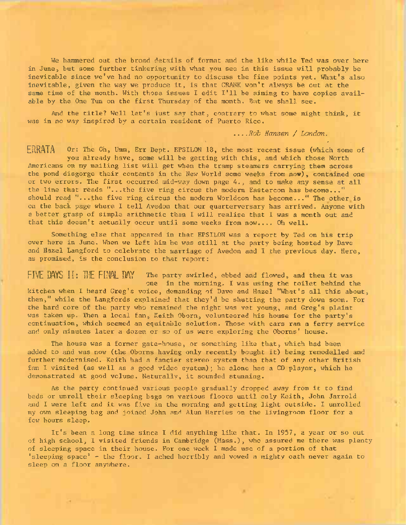We hammered out the broad details of format and the like while Ted was over here in June, but some further tinkering with what you see in this issue will probably be inevitable since we've had no opportunity to discuss the fine points yet. What's also inevitable, given the way we produce it, is that CRANK won't always be out at the same time of the month. With those issues <sup>I</sup> edit I'll be aiming to have copies available by the One Tun on the first Thursday of the month. But we shall see.

And the title? Well let's just say that, contrary to what some might think, it was in no way inspired by a certain resident of Puerto Rico.

> *....Rob Hansen / London.* V r .

ERRATA Or: The Oh, Umm, Err Dept. EPSILON 18, the most recent issue (which some of you already have, some will be getting with this, and which those North Americans on my mailing list will get when the tramp steamers carrying them across the pond disgorge their contents in the New World some weeks from now), contained one or two errors. The first occurred mid-way down page 4., and to make any sense at all the line that reads "...the five ring circus the modern Eastercon has become..." should read "...the five ring circus the modern Worldcon has become..." The other is on the back page where I tell Avedon that our quarterversary has arrived. Anyone with a better grasp of simple arithmetic than I will realise that I was a month out and that this doesn't actually occur until some weeks from now.... Oh well.

Something else that appeared in that EPSILON was a report by Ted on his trip over here in June. When we left him he was still at the party being hosted by Dave and Hazel Langford to celebrate the marriage of Avedon and I the previous day. Here, as promised, is the conclusion to that report:

FIVE DAYS II: THE FINAL DAY The party swirled, ebbed and flowed, and then it was one in the morning. I was using the toilet behind the kitchen when I heard Greg's voice, demanding of Dave and Hazel "What's all this about, then," while the Langfords explained that they'd be shutting the party down soon. For the hard core of the party who remained the night was yet young, and Greg's plaint was taken up. Then a local fan, Keith Oborn, volunteered his house for the party's continuation, which seemed an equitable solution. Those with cars ran a ferry service and only minutes later a dozen or so of us were exploring the Oborns' house.

The house was a former gate-house, or something like that, which had been added to and was now (the Oborns having only recently bought it) being remodelled and further modernised. Keith had a fancier stereo system than that of any other British fan I visited (as well as <sup>a</sup> good video system); he alone has a CD player, which he demonstrated at good volume. Naturally, it sounded stunning.

As the party continued various people gradually dropped away from it to find beds or unroll their sleeping bags on various floors until only Keith, John Jarrold and I were left and it was five in the morning and getting light outside. I unrolled my own sleeping bag and joined John and Alun Harries on the livingroom floor for a few hours sleep.

It's been <sup>a</sup> long time since I did anything like that. In 1957, <sup>a</sup> year or so out of high school, I visited friends in Cambridge (Mass.), who assured me there was plenty of sleeping space in their house. For one week I made use of a portion of that 'sleeping space'  $-$  the floor. I ached horribly and vowed a mighty oath never again to sleep on a floor anywhere.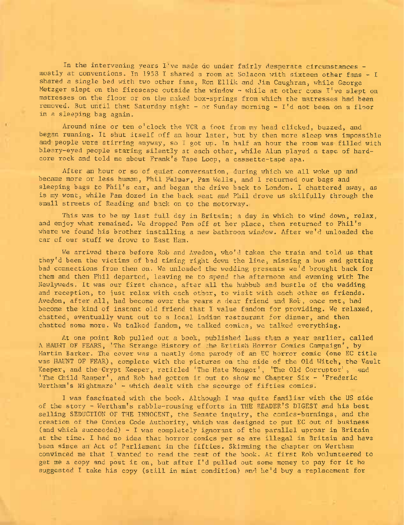In the intervening years I've made do under fairly desperate circumstances mostly at conventions. In <sup>1953</sup> I shared a room at Solacon with sixteen other fans - I shared a single bed with two other fans, Ron Ellik and Jim Caughran, while George Metzger slept on the firescape outside the window - while at other cons I've slept on matresses on the floor or on the naked box-springs from which the matresses had been removed. But until that Saturday night - or Sunday morning - I'<sup>d</sup> not been on <sup>a</sup> floor in a sleeping bag again.

Around nine or ten o'clock the VCR a foot from my head clicked, buzzed, and began running. It shut itself off an hour later, but by then more sleep was impossible and people were stirring anyway, so I got up. In half an hour the room was filled with bleary-eyed people staring silently at each other, while Alun played a tape of hardcore rock and told me about Frank's Tape Loop, a cassette-tape apa.

After an hour or so of quiet conversation, during which we all woke up and became more or less human, Phil Palmer, Pam Wells, and I returned our bags and sleeping bags to Phil's car, and began the drive back to London. I chattered away, as is my wont, while Pam dozed in the back seat and Phil drove us skilfully through the small streets of Reading and back on to the motorway.

This was to be my last full day in Britain; a day in which to wind down, relax, and enjoy what remained. We dropped Pam off at her place, then returned to Phil'<sup>s</sup> where we found his brother installing a new bathroom window. After we'<sup>d</sup> unloaded the car of our stuff we drove to East Ham.

We arrived there before Rob and Avedon, who'<sup>d</sup> taken the train and told us that they'd been the victims of bad timing right down the line, missing a bus and getting bad connections from then on. We unloaded the wedding presents we'd brought back for them and then Phil departed, leaving me to spend the afternoon and evening with The Newlyweds. It was our first chance, after all the hubbub and bustle of the wedding and reception, to just relax with each other, to visit with each other as friends. Avedon, after all, had become over the years <sup>a</sup> dear friend and Rob, once met, had become the kind of instant old friend that I value fandom for providing. We relaxed, chatted, eventually went out to a local Indian restaurant for dinner, and then chatted some more. We talked fandom, we talked comics, we talked everything.

At one point Rob pulled out a book, published less than <sup>a</sup> year earlier, called <sup>A</sup> HAUNT OF FEARS, 'The Strange History of the British Horror Comics Campaign', by Martin Barker. The cover was a neatly done parody of an EC horror comic (one EC title was HAUNT OF FEAR), complete with the pictures on the side of the Old Witch, the Vault Keeper, and the Crypt Keeper, retitled 'The Hate Monger', 'The Old Corruptor', and 'The Child Reaper', and Rob had gotten it out to show me Chapter Six - 'Frederic Wertham's Nightmare' - which dealt with the scourge of fifties comics.

I was fascinated with the book. Although I was quite familiar with the US side of the story - Wertham's rabble-rousing efforts in THE READER'<sup>S</sup> DIGEST and his best selling SEDUCTION OF THE INNOCENT, the Senate inquiry, the comics-burnings, and the creation of the Comics Code Authority, which was designed to put EC out of business (and which succeeded)  $-1$  was completely ignorant of the parallel uproar in Britain at the time. I had no idea that horror comics per se are illegal in Britain and have been since an Act of Parliament in the fifties. Skimming the chapter on Wertham convinced me that I wanted to read the rest of the book. At first Rob volunteered to get me <sup>a</sup> copy and post it on, but after I'<sup>d</sup> pulled out some money to pay for it he suggested I take his copy (still in mint condition) and he'd buy <sup>a</sup> replacement for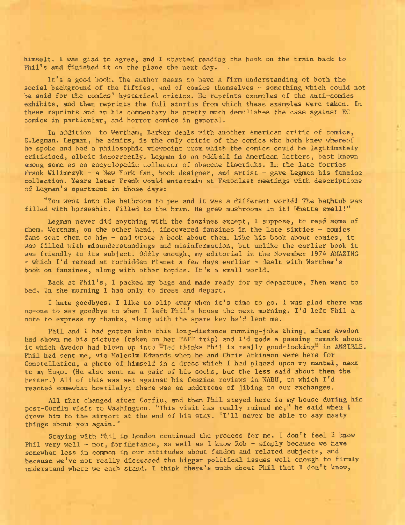himself. I was glad to agree, and I started reading the book on the train back to Phil's and finished it on the plane the next day.

It'<sup>s</sup> <sup>a</sup> good book. The author seems to have <sup>a</sup> firm understanding of both the social background of the fifties, and of comics themselves - something which could not be said for the comics' hysterical critics. He reprints examples of the anti-comics exhibits, and then reprints the full stories from which these examples were taken. In these reprints and in his commentary he pretty much demolishes the case against EC comics in particular, and horror comics in general.

In addition to Wertham, Barker deals with another American critic of comics, G.Legman. Legman, he admits, is the only critic of the comics who both knew whereof he spoke and had a philosophic viewpoint from which the comics could be legitimately criticised, albeit incorrectly. Legman is an oddball in American letters, best known among some as an encyclopedic collector of obscene limericks. In the late forties Frank Wilimczyk - <sup>a</sup> New York fan, book designer, and artist - gave Legman his fanzine collection. Years later Frank would entertain at Fanoclast meetings with descriptions of Legman's apartment in those days:

"You went into the bathroom to pee and it was <sup>a</sup> different world.' The bathtub was filled with horseshit. Filled to the brim. He grew mushrooms in it! Whatta smell!"

Legman never did anything with the fanzines except, I suppose, to read some of them. Wertham, on the other hand, discovered fanzines in the late sixties - comics fans sent them to him - and wrote a book about them. Like his book about comics, it was filled with misunderstandings and misinformation, but unlike the earlier book it was friendly to its subject. Oddly enough, my editorial in the November <sup>1974</sup> AMAZING - which I'<sup>d</sup> reread at Forbidden Planet <sup>a</sup> few days earlier - dealt with Wertham'<sup>s</sup> book on fanzines, along with other topics. It'<sup>s</sup> <sup>a</sup> small world.

Back at Phil's, I packed my bags and made ready for my departure, Then went to bed. In the morning I had only to dress and depart.

<sup>1</sup> hate goodbyes. I like to slip away when it's time to go. I was glad there was no-one to say goodbye to when I left Phil's house the next morning. I'd left Phil <sup>a</sup> note to express my thanks, along with the spare key he'<sup>d</sup> lent me.

Phil and I had gotten into this long-distance running-joke thing, after Avedon had shown me his picture (taken on her TAF" trip) and I'd mode a passing remark about it which Avedon had blown up into -Ted thinks Phil is really good-looking- in ANSIBLE. Phil had sent me, via Malcolm Edwards when he and Chris Atkinson were here for Constellation, a photo of himself in a dress which I had placed upon my mantel, next to my Hugo. (He also sent me a pair of his socks, but the less said about them the better.) All of this was set against his fanzine reviews in NABU, to which I'<sup>d</sup> reacted somewhat hostilely: there was an undertone of jibing to our exchanges.

All that changed after Corflu, and then Phil stayed here in my house during his post-Corflu visit to Washington. "This visit has really ruined me," he said when I drove him to the airport at the end of his stay. "I'll never be able to say nasty things about you again."

Staying with Phil in London continued the process for me. I don't feel I know Phil very well - not, for instance, as well as I know Rob - simply because we have somewhat less in common in our attitudes about fandom and related subjects, and because we've not really discussed the bigger political issues well enough to firmly understand where we each stand. I think there's much about Phil that I don't know,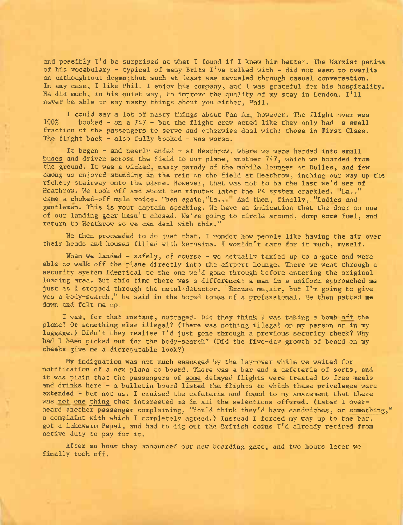and possibly I'<sup>d</sup> be surprised at what <sup>I</sup> found if <sup>I</sup> knew him better. The Marxist patina of his vocabulary - typical of many Brits  $I'$ ve talked with - did not seem to overlie an unthoughtout dogma;that much at least was revealed through casual conversation. In any case, I like Phil, I enjoy his company, and I was grateful for his hospitality. He did much, in his quiet way, to improve the quality of my stay in London. I'll never be able to say nasty things about you either, Phil.

I could say a lot of nasty things about Pan Am, however. The flight over was 100% booked - on a 747 - but the flight crew acted like they only had 'a small fraction of the passengers to serve and otherwise deal with: those in First Class. The flight back  $-$  also fully booked  $-$  was worse.

It began - and nearly ended - at Heathrow, where we were herded into small buses and driven across the field to our plane, another 747, which we boarded from the ground. It was a wicked, nasty parody of the mobile lounges at Dulles, and few among us enjoyed standing in the rain on the field at Heathrow, inching our way up the rickety stairway onto the plane. However, that was not to be the last we'd see of Heathrow. We took off and about ten minutes later the PA system crackled. 'La.." came a choked-off male voice. Then again,"La.. " And then, finally, "Ladies and gentlemen. This is your captain speaking. We have an indication that the door on one of our landing gear hasn't closed. We're going to circle around, dump some fuel, and return to Heathrow so we can deal with this."

We then proceeded to do just that. I wonder how people like having the air over their heads and houses filled with kerosine. I wouldn't care for it much, myself.

When we landed - safely, of course - we actually taxied up to a gate and were able to walk off the plane directly into the airport lounge. There we went through a security system identical to the one we'd gone through before entering the original loading area. But this time there was a difference: a man in a uniform approached me just as I stepped through the metal-detector. "Excuse me,sir, but I'm going to give you a body-search," he said in the bored tones of a professional. He then patted me down and felt me up.

I was, for that instant, outraged. Did they think I was taking a bomb off the plane? Or something else illegal? (There was nothing illegal on my person or in my luggage.) Didn't they realise I'd just gone through a previous security check? Why had I been picked out for the body-search? (Did the five-day growth of beard on my cheeks give me a disreputable look?)

My indignation was not much assuaged by the lay-over while we waited for notification of a new plane to board. There was a bar and a cafeteria of sorts, and it was plain that the passengers of some delayed flights were treated to free meals and drinks here - a bulletin board listed the flights to which these priveleges were extended - but not us. I cruised the cafeteria and found to my amazement that there was not one thing that interested me in all the selections offered. (Later I overheard another passenger complaining, "You'<sup>d</sup> think they'd have sandwiches, or something,"' a complaint with which I completely agreed.) Instead I forced my way up to the bar, got a lukewarm Pepsi, and had to dig out the British coins I'd already retired from active duty to pay for it.

After an hour they announced our new boarding gate, and two hours later we finally took off. The same secured between the second one of the second with the second second second second second second second second second second second second second second second second second second second second s